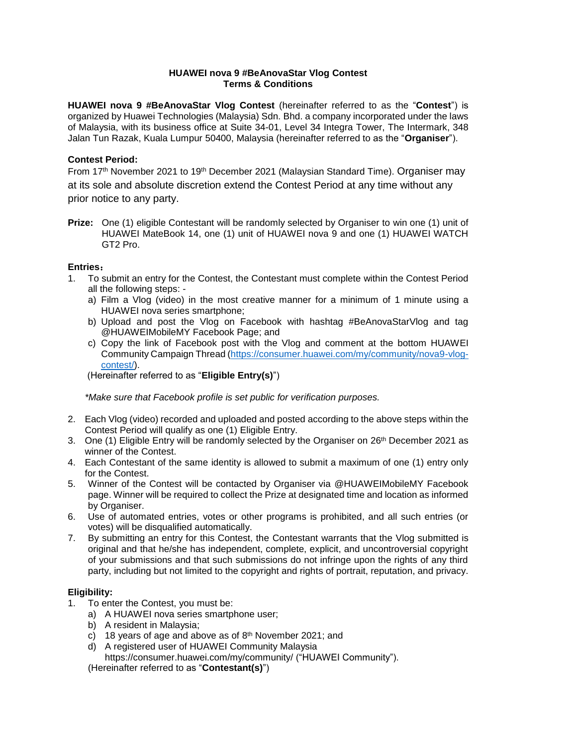## **HUAWEI nova 9 #BeAnovaStar Vlog Contest Terms & Conditions**

**HUAWEI nova 9 #BeAnovaStar Vlog Contest** (hereinafter referred to as the "**Contest**") is organized by Huawei Technologies (Malaysia) Sdn. Bhd. a company incorporated under the laws of Malaysia, with its business office at Suite 34-01, Level 34 Integra Tower, The Intermark, 348 Jalan Tun Razak, Kuala Lumpur 50400, Malaysia (hereinafter referred to as the "**Organiser**").

# **Contest Period:**

From 17<sup>th</sup> November 2021 to 19<sup>th</sup> December 2021 (Malaysian Standard Time). Organiser may at its sole and absolute discretion extend the Contest Period at any time without any prior notice to any party.

**Prize:** One (1) eligible Contestant will be randomly selected by Organiser to win one (1) unit of HUAWEI MateBook 14, one (1) unit of HUAWEI nova 9 and one (1) HUAWEI WATCH GT2 Pro.

## **Entries**:

- 1. To submit an entry for the Contest, the Contestant must complete within the Contest Period all the following steps:
	- a) Film a Vlog (video) in the most creative manner for a minimum of 1 minute using a HUAWEI nova series smartphone;
	- b) Upload and post the Vlog on Facebook with hashtag #BeAnovaStarVlog and tag @HUAWEIMobileMY Facebook Page; and
	- c) Copy the link of Facebook post with the Vlog and comment at the bottom HUAWEI Community Campaign Thread (https://consumer.huawei.com/my/community/nova9-vlogcontest/).

(Hereinafter referred to as "**Eligible Entry(s)**")

*\*Make sure that Facebook profile is set public for verification purposes.*

- 2. Each Vlog (video) recorded and uploaded and posted according to the above steps within the Contest Period will qualify as one (1) Eligible Entry.
- 3. One (1) Eligible Entry will be randomly selected by the Organiser on 26<sup>th</sup> December 2021 as winner of the Contest.
- 4. Each Contestant of the same identity is allowed to submit a maximum of one (1) entry only for the Contest.
- 5. Winner of the Contest will be contacted by Organiser via @HUAWEIMobileMY Facebook page. Winner will be required to collect the Prize at designated time and location as informed by Organiser.
- 6. Use of automated entries, votes or other programs is prohibited, and all such entries (or votes) will be disqualified automatically.
- 7. By submitting an entry for this Contest, the Contestant warrants that the Vlog submitted is original and that he/she has independent, complete, explicit, and uncontroversial copyright of your submissions and that such submissions do not infringe upon the rights of any third party, including but not limited to the copyright and rights of portrait, reputation, and privacy.

#### **Eligibility:**

- 1. To enter the Contest, you must be:
	- a) A HUAWEI nova series smartphone user;
	- b) A resident in Malaysia;
	- c) 18 years of age and above as of 8<sup>th</sup> November 2021; and
	- d) A registered user of HUAWEI Community Malaysia

https://consumer.huawei.com/my/community/ ("HUAWEI Community").

(Hereinafter referred to as "**Contestant(s)**")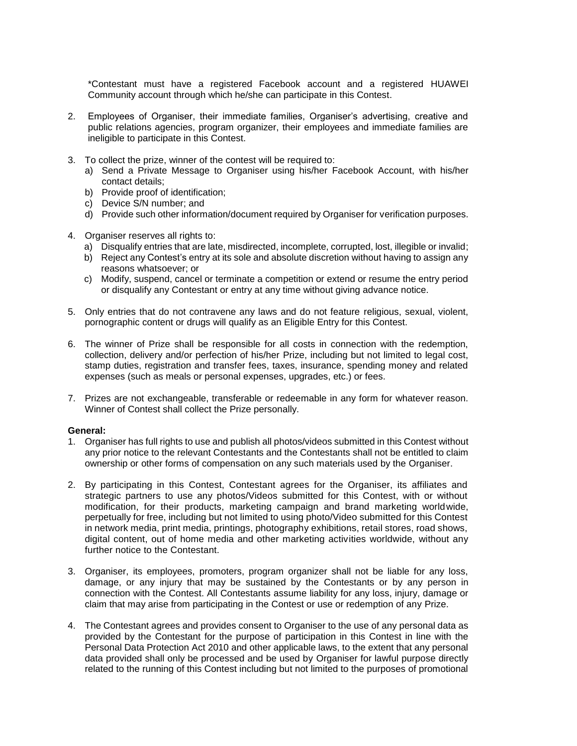\*Contestant must have a registered Facebook account and a registered HUAWEI Community account through which he/she can participate in this Contest.

- 2. Employees of Organiser, their immediate families, Organiser's advertising, creative and public relations agencies, program organizer, their employees and immediate families are ineligible to participate in this Contest.
- 3. To collect the prize, winner of the contest will be required to:
	- a) Send a Private Message to Organiser using his/her Facebook Account, with his/her contact details;
	- b) Provide proof of identification;
	- c) Device S/N number; and
	- d) Provide such other information/document required by Organiser for verification purposes.
- 4. Organiser reserves all rights to:
	- a) Disqualify entries that are late, misdirected, incomplete, corrupted, lost, illegible or invalid;
	- b) Reject any Contest's entry at its sole and absolute discretion without having to assign any reasons whatsoever; or
	- c) Modify, suspend, cancel or terminate a competition or extend or resume the entry period or disqualify any Contestant or entry at any time without giving advance notice.
- 5. Only entries that do not contravene any laws and do not feature religious, sexual, violent, pornographic content or drugs will qualify as an Eligible Entry for this Contest.
- 6. The winner of Prize shall be responsible for all costs in connection with the redemption, collection, delivery and/or perfection of his/her Prize, including but not limited to legal cost, stamp duties, registration and transfer fees, taxes, insurance, spending money and related expenses (such as meals or personal expenses, upgrades, etc.) or fees.
- 7. Prizes are not exchangeable, transferable or redeemable in any form for whatever reason. Winner of Contest shall collect the Prize personally.

#### **General:**

- 1. Organiser has full rights to use and publish all photos/videos submitted in this Contest without any prior notice to the relevant Contestants and the Contestants shall not be entitled to claim ownership or other forms of compensation on any such materials used by the Organiser.
- 2. By participating in this Contest, Contestant agrees for the Organiser, its affiliates and strategic partners to use any photos/Videos submitted for this Contest, with or without modification, for their products, marketing campaign and brand marketing worldwide, perpetually for free, including but not limited to using photo/Video submitted for this Contest in network media, print media, printings, photography exhibitions, retail stores, road shows, digital content, out of home media and other marketing activities worldwide, without any further notice to the Contestant.
- 3. Organiser, its employees, promoters, program organizer shall not be liable for any loss, damage, or any injury that may be sustained by the Contestants or by any person in connection with the Contest. All Contestants assume liability for any loss, injury, damage or claim that may arise from participating in the Contest or use or redemption of any Prize.
- 4. The Contestant agrees and provides consent to Organiser to the use of any personal data as provided by the Contestant for the purpose of participation in this Contest in line with the Personal Data Protection Act 2010 and other applicable laws, to the extent that any personal data provided shall only be processed and be used by Organiser for lawful purpose directly related to the running of this Contest including but not limited to the purposes of promotional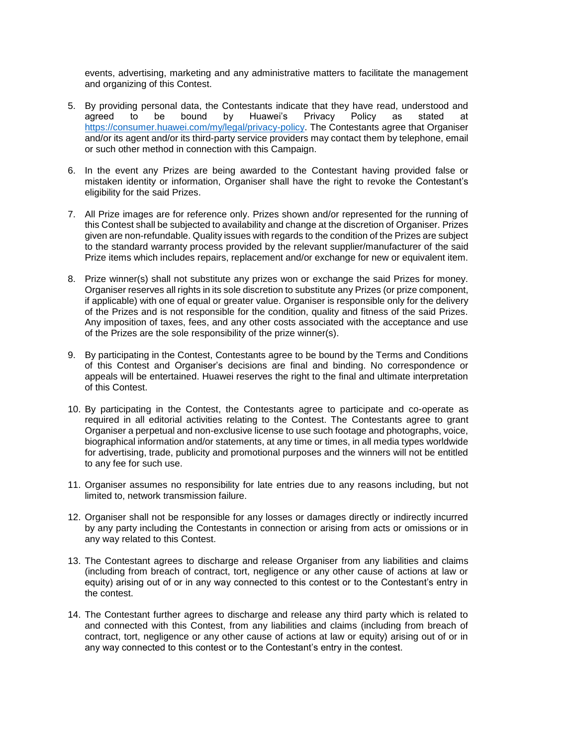events, advertising, marketing and any administrative matters to facilitate the management and organizing of this Contest.

- 5. By providing personal data, the Contestants indicate that they have read, understood and agreed to be bound by Huawei's Privacy Policy as stated at [https://consumer.huawei.com/my/legal/privacy-policy.](https://consumer.huawei.com/my/legal/privacy-policy) The Contestants agree that Organiser and/or its agent and/or its third-party service providers may contact them by telephone, email or such other method in connection with this Campaign.
- 6. In the event any Prizes are being awarded to the Contestant having provided false or mistaken identity or information, Organiser shall have the right to revoke the Contestant's eligibility for the said Prizes.
- 7. All Prize images are for reference only. Prizes shown and/or represented for the running of this Contest shall be subjected to availability and change at the discretion of Organiser. Prizes given are non-refundable. Quality issues with regards to the condition of the Prizes are subject to the standard warranty process provided by the relevant supplier/manufacturer of the said Prize items which includes repairs, replacement and/or exchange for new or equivalent item.
- 8. Prize winner(s) shall not substitute any prizes won or exchange the said Prizes for money. Organiser reserves all rights in its sole discretion to substitute any Prizes (or prize component, if applicable) with one of equal or greater value. Organiser is responsible only for the delivery of the Prizes and is not responsible for the condition, quality and fitness of the said Prizes. Any imposition of taxes, fees, and any other costs associated with the acceptance and use of the Prizes are the sole responsibility of the prize winner(s).
- 9. By participating in the Contest, Contestants agree to be bound by the Terms and Conditions of this Contest and Organiser's decisions are final and binding. No correspondence or appeals will be entertained. Huawei reserves the right to the final and ultimate interpretation of this Contest.
- 10. By participating in the Contest, the Contestants agree to participate and co-operate as required in all editorial activities relating to the Contest. The Contestants agree to grant Organiser a perpetual and non-exclusive license to use such footage and photographs, voice, biographical information and/or statements, at any time or times, in all media types worldwide for advertising, trade, publicity and promotional purposes and the winners will not be entitled to any fee for such use.
- 11. Organiser assumes no responsibility for late entries due to any reasons including, but not limited to, network transmission failure.
- 12. Organiser shall not be responsible for any losses or damages directly or indirectly incurred by any party including the Contestants in connection or arising from acts or omissions or in any way related to this Contest.
- 13. The Contestant agrees to discharge and release Organiser from any liabilities and claims (including from breach of contract, tort, negligence or any other cause of actions at law or equity) arising out of or in any way connected to this contest or to the Contestant's entry in the contest.
- 14. The Contestant further agrees to discharge and release any third party which is related to and connected with this Contest, from any liabilities and claims (including from breach of contract, tort, negligence or any other cause of actions at law or equity) arising out of or in any way connected to this contest or to the Contestant's entry in the contest.